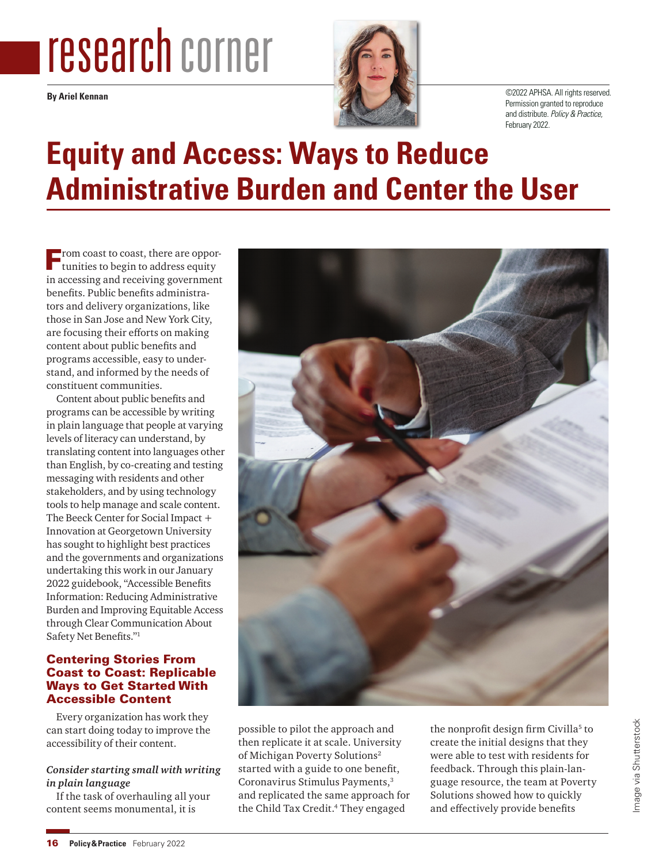# research corner

**By Ariel Kennan**



©2022 APHSA. All rights reserved. Permission granted to reproduce and distribute. Policy & Practice, February 2022.

# **Equity and Access: Ways to Reduce Administrative Burden and Center the User**

**From coast to coast, there are opportunities to begin to address equity** in accessing and receiving government benefits. Public benefits administrators and delivery organizations, like those in San Jose and New York City, are focusing their efforts on making content about public benefits and programs accessible, easy to understand, and informed by the needs of constituent communities.

Content about public benefits and programs can be accessible by writing in plain language that people at varying levels of literacy can understand, by translating content into languages other than English, by co-creating and testing messaging with residents and other stakeholders, and by using technology tools to help manage and scale content. The Beeck Center for Social Impact + Innovation at Georgetown University has sought to highlight best practices and the governments and organizations undertaking this work in our January 2022 guidebook, "Accessible Benefits Information: Reducing Administrative Burden and Improving Equitable Access through Clear Communication About Safety Net Benefits."1

# Centering Stories From Coast to Coast: Replicable Ways to Get Started With Accessible Content

Every organization has work they can start doing today to improve the accessibility of their content.

### *Consider starting small with writing in plain language*

If the task of overhauling all your content seems monumental, it is



possible to pilot the approach and then replicate it at scale. University of Michigan Poverty Solutions2 started with a guide to one benefit, Coronavirus Stimulus Payments,3 and replicated the same approach for the Child Tax Credit.<sup>4</sup> They engaged

the nonprofit design firm Civilla<sup>5</sup> to create the initial designs that they were able to test with residents for feedback. Through this plain-language resource, the team at Poverty Solutions showed how to quickly and effectively provide benefits